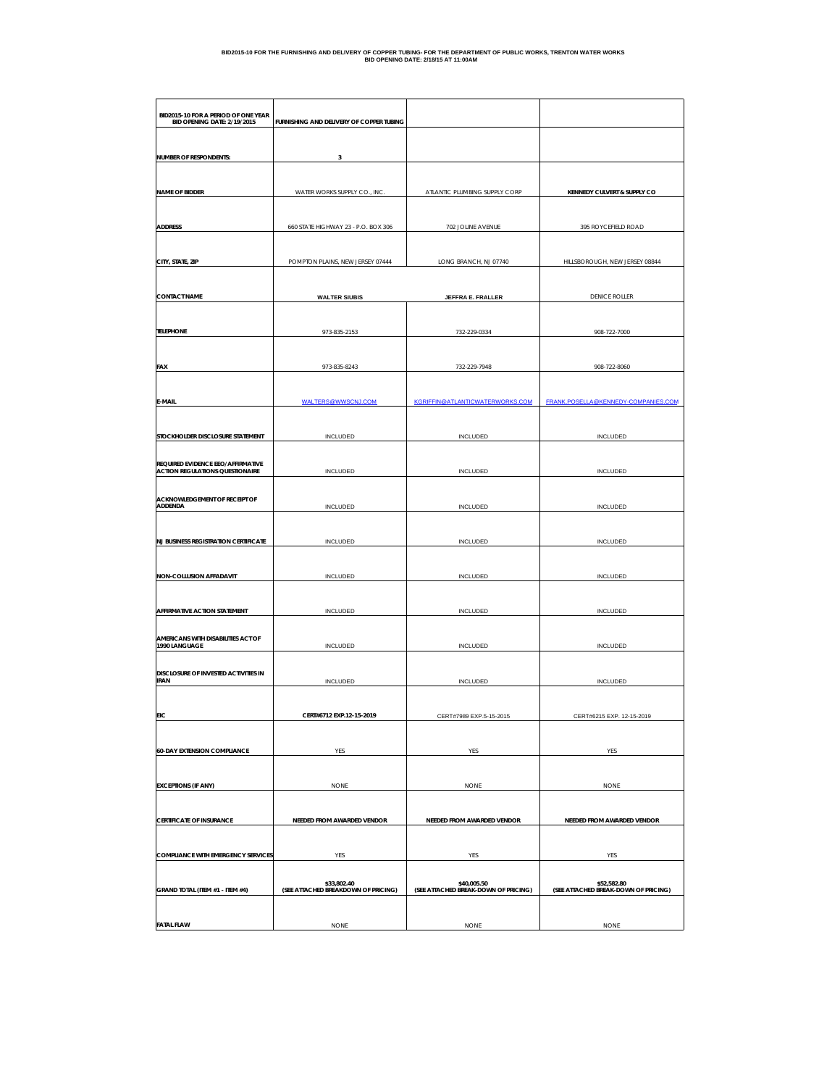| BID2015-10 FOR A PERIOD OF ONE YEAR<br>BID OPENING DATE: 2/19/2015 | FURNISHING AND DELIVERY OF COPPER TUBING           |                                                     |                                                     |  |
|--------------------------------------------------------------------|----------------------------------------------------|-----------------------------------------------------|-----------------------------------------------------|--|
| <b>NUMBER OF RESPONDENTS:</b>                                      | 3                                                  |                                                     |                                                     |  |
|                                                                    |                                                    |                                                     |                                                     |  |
| <b>NAME OF BIDDER</b>                                              | WATER WORKS SUPPLY CO., INC.                       | ATLANTIC PLUMBING SUPPLY CORP                       | KENNEDY CULVERT & SUPPLY CO                         |  |
|                                                                    |                                                    |                                                     |                                                     |  |
| <b>ADDRESS</b>                                                     | 660 STATE HIGHWAY 23 - P.O. BOX 306                | 702 JOLINE AVENUE                                   | 395 ROYCEFIELD ROAD                                 |  |
|                                                                    |                                                    |                                                     |                                                     |  |
| CITY, STATE, ZIP                                                   | POMPTON PLAINS, NEW JERSEY 07444                   | LONG BRANCH, NJ 07740                               | HILLSBOROUGH, NEW JERSEY 08844                      |  |
|                                                                    |                                                    |                                                     |                                                     |  |
| <b>CONTACT NAME</b>                                                | <b>WALTER SIUBIS</b>                               | JEFFRA E. FRALLER                                   | <b>DENICE ROLLER</b>                                |  |
| TELEPHONE                                                          | 973-835-2153                                       | 732-229-0334                                        | 908-722-7000                                        |  |
| FAX                                                                | 973-835-8243                                       | 732-229-7948                                        | 908-722-8060                                        |  |
|                                                                    |                                                    |                                                     |                                                     |  |
| E-MAIL                                                             | WALTERS@WWSCNJ.COM                                 | KGRIFFIN@ATLANTICWATERWORKS.COM                     | FRANK.POSELLA@KENNEDY-COMPANIES.COM                 |  |
|                                                                    |                                                    |                                                     |                                                     |  |
| STOCKHOLDER DISCLOSURE STATEMENT                                   | INCLUDED                                           | INCLUDED                                            | INCLUDED                                            |  |
| REQUIRED EVIDENCE EEO/AFFIRMATIVE                                  |                                                    |                                                     |                                                     |  |
| <b>ACTION REGULATIONS QUESTIONAIRE</b>                             | INCLUDED                                           | <b>INCLUDED</b>                                     | INCLUDED                                            |  |
| ACKNOWLEDGEMENT OF RECEIPT OF                                      |                                                    |                                                     |                                                     |  |
| ADDENDA                                                            | INCLUDED                                           | INCLUDED                                            | INCLUDED                                            |  |
| <b>NJ BUSINESS REGISTRATION CERTIFICATE</b>                        | INCLUDED                                           | INCLUDED                                            | INCLUDED                                            |  |
|                                                                    |                                                    |                                                     |                                                     |  |
| <b>NON-COLLUSION AFFADAVIT</b>                                     | <b>INCLUDED</b>                                    | <b>INCLUDED</b>                                     | INCLUDED                                            |  |
|                                                                    |                                                    |                                                     |                                                     |  |
| AFFIRMATIVE ACTION STATEMENT                                       | <b>INCLUDED</b>                                    | <b>INCLUDED</b>                                     | <b>INCLUDED</b>                                     |  |
| AMERICANS WITH DISABILITIES ACT OF<br>1990 LANGUAGE                | INCLUDED                                           | INCLUDED                                            | <b>INCLUDED</b>                                     |  |
|                                                                    |                                                    |                                                     |                                                     |  |
| DISCLOSURE OF INVESTED ACTIVITIES IN<br><b>IRAN</b>                | <b>INCLUDED</b>                                    | <b>INCLUDED</b>                                     | INCLUDED                                            |  |
|                                                                    |                                                    |                                                     |                                                     |  |
| EIC                                                                | CFRT#6712 FXP.12-15-2019                           | CERT#7989 FXP 5                                     | CERT#6215 EXP                                       |  |
|                                                                    |                                                    |                                                     |                                                     |  |
| <b>60-DAY EXTENSION COMPLIANCE</b>                                 | YES                                                | YES                                                 | YES                                                 |  |
|                                                                    |                                                    |                                                     |                                                     |  |
| <b>EXCEPTIONS (IF ANY)</b>                                         | <b>NONE</b>                                        | <b>NONE</b>                                         | <b>NONE</b>                                         |  |
|                                                                    |                                                    |                                                     |                                                     |  |
| <b>CERTIFICATE OF INSURANCE</b>                                    | NEEDED FROM AWARDED VENDOR                         | NEEDED FROM AWARDED VENDOR                          | NEEDED FROM AWARDED VENDOR                          |  |
| <b>COMPLIANCE WITH EMERGENCY SERVICES</b>                          | YES                                                | YES                                                 | YES                                                 |  |
|                                                                    |                                                    |                                                     |                                                     |  |
| GRAND TOTAL (ITEM #1 - ITEM #4)                                    | \$33,802.40<br>(SEE ATTACHED BREAKDOWN OF PRICING) | \$40,005.50<br>(SEE ATTACHED BREAK-DOWN OF PRICING) | \$52,582.80<br>(SEE ATTACHED BREAK-DOWN OF PRICING) |  |
|                                                                    |                                                    |                                                     |                                                     |  |
| <b>FATAL FLAW</b>                                                  | <b>NONE</b>                                        | <b>NONE</b>                                         | <b>NONE</b>                                         |  |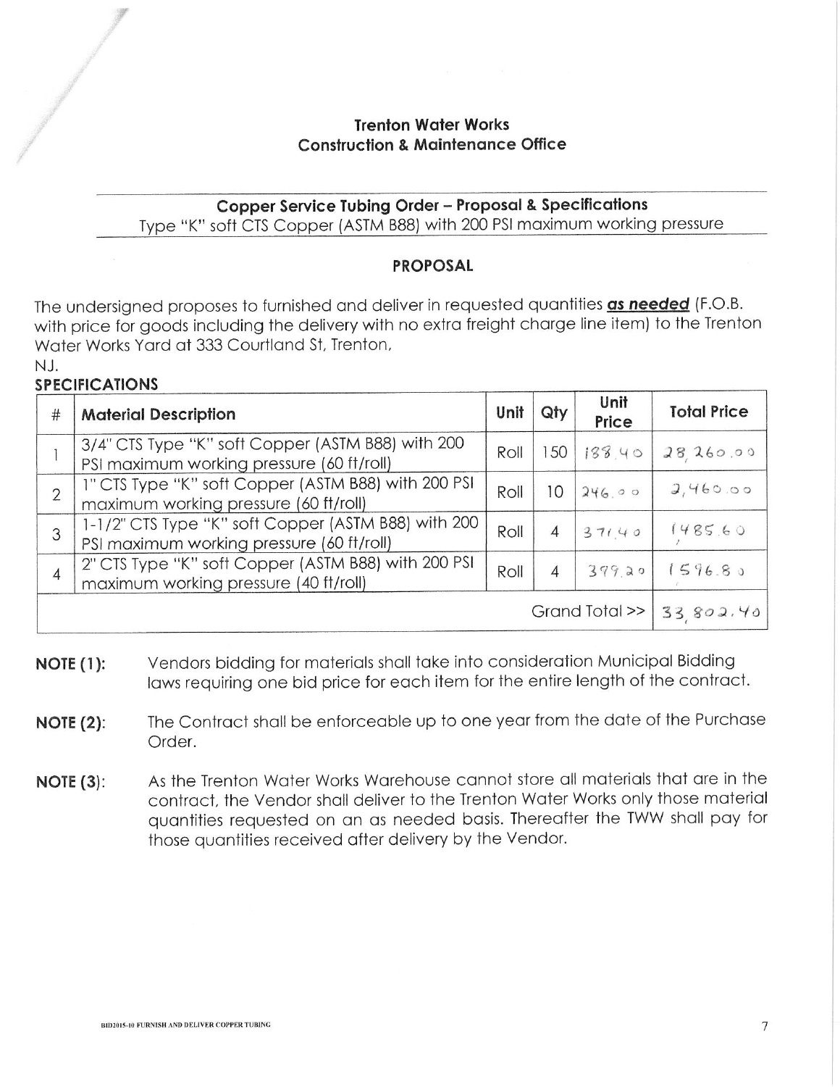# **Trenton Water Works Construction & Maintenance Office**

# Copper Service Tubing Order - Proposal & Specifications Type "K" soft CTS Copper (ASTM B88) with 200 PSI maximum working pressure

# **PROPOSAL**

The undersigned proposes to furnished and deliver in requested quantities as needed (F.O.B. with price for goods including the delivery with no extra freight charge line item) to the Trenton Water Works Yard at 333 Courtland St, Trenton,

#### $N.L$ **SPECIFICATIONS**

| #                          | <b>Material Description</b>                                                                      | Unit | Qty            | Unit<br>Price  | <b>Total Price</b>  |
|----------------------------|--------------------------------------------------------------------------------------------------|------|----------------|----------------|---------------------|
|                            | 3/4" CTS Type "K" soft Copper (ASTM B88) with 200<br>PSI maximum working pressure (60 ft/roll)   | Roll |                | 150   188   40 | 28260.00            |
| $\overline{2}$             | 1" CTS Type "K" soft Copper (ASTM B88) with 200 PSI<br>maximum working pressure (60 ft/roll)     | Roll | 10             | 246.00         | 2,460.00            |
| 3                          | 1-1/2" CTS Type "K" soft Copper (ASTM B88) with 200<br>PSI maximum working pressure (60 ft/roll) | Roll | $\overline{4}$ | 37140          | 1485.60             |
| $\overline{4}$             | 2" CTS Type "K" soft Copper (ASTM B88) with 200 PSI<br>maximum working pressure (40 ft/roll)     | Roll | $\overline{4}$ | 399.20         | 1596.8 <sub>9</sub> |
| Grand Total >>   33 802.40 |                                                                                                  |      |                |                |                     |

- Vendors bidding for materials shall take into consideration Municipal Bidding  $NOTE(1):$ laws requiring one bid price for each item for the entire length of the contract.
- The Contract shall be enforceable up to one year from the date of the Purchase  $NOTE(2)$ : Order.
- As the Trenton Water Works Warehouse cannot store all materials that are in the NOTE  $(3)$ : contract, the Vendor shall deliver to the Trenton Water Works only those material quantities requested on an as needed basis. Thereafter the TWW shall pay for those quantities received after delivery by the Vendor.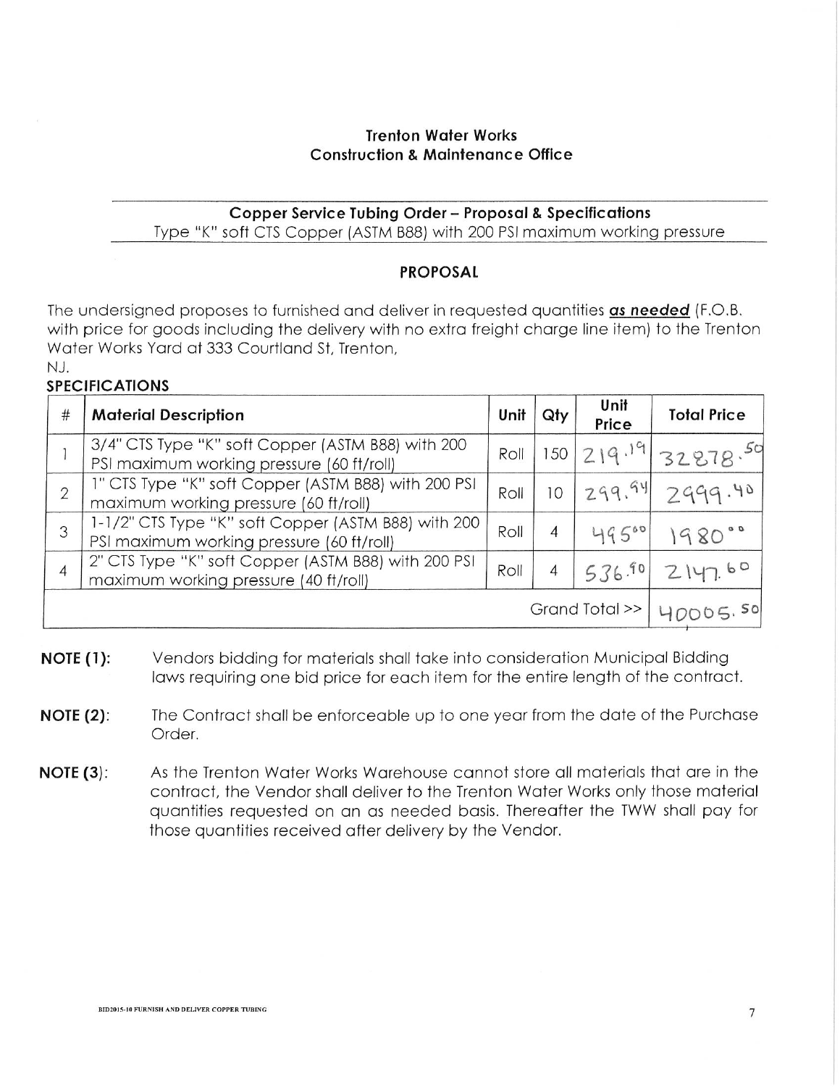### **Trenton Water Works Construction & Maintenance Office**

### **Copper Service Tubing Order - Proposal & Specifications** Type "K" soft CTS Copper (ASTM B88) with 200 PSI maximum working pressure

#### **PROPOSAL**

The undersigned proposes to furnished and deliver in requested quantities as needed (F.O.B. with price for goods including the delivery with no extra freight charge line item) to the Trenton Water Works Yard at 333 Courtland St, Trenton,  $N<sub>1</sub>$ 

# **SPECIFICATIONS**

| $\#$                     | <b>Material Description</b>                                                                      | Unii | Qty            | Unit<br>Price | <b>Total Price</b>   |
|--------------------------|--------------------------------------------------------------------------------------------------|------|----------------|---------------|----------------------|
|                          | 3/4" CTS Type "K" soft Copper (ASTM B88) with 200<br>PSI maximum working pressure (60 ft/roll)   | Roll |                |               | 150  219.19 32878.50 |
| $\overline{2}$           | 1" CTS Type "K" soft Copper (ASTM B88) with 200 PSI<br>maximum working pressure (60 ft/roll)     | Roll | 10             |               | 299.94 2999.40       |
| 3                        | 1-1/2" CTS Type "K" soft Copper (ASTM B88) with 200<br>PSI maximum working pressure (60 ft/roll) | Roll | $\overline{4}$ | 49500         | 1980°                |
| $\overline{4}$           | 2" CTS Type "K" soft Copper (ASTM B88) with 200 PSI<br>maximum working pressure (40 ft/roll)     | Roll |                | 536.901       | 2147.60              |
| Grand Total $\gg$ $\mid$ |                                                                                                  |      |                |               |                      |

- **NOTE (1):** Vendors bidding for materials shall take into consideration Municipal Bidding laws requiring one bid price for each item for the entire length of the contract.
- The Contract shall be enforceable up to one year from the date of the Purchase NOTE  $(2)$ : Order.
- As the Trenton Water Works Warehouse cannot store all materials that are in the  $NOTE(3):$ contract, the Vendor shall deliver to the Trenton Water Works only those material quantities requested on an as needed basis. Thereafter the TWW shall pay for those quantities received after delivery by the Vendor.